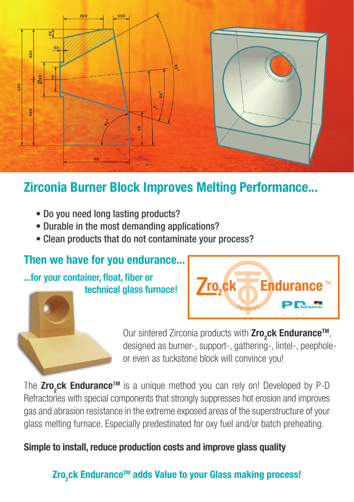

## Zirconia Burner Block Improves Melting Performance...

- Do you need long lasting products?
- Durable in the most demanding applications?
- Clean products that do not contaminate your process?

### Then we have for you endurance...

#### ...for your container, float, fiber or technical glass furnace!



Our sintered Zirconia products with Zro<sub>2</sub>ck Endurance<sup>™</sup>, designed as burner-, support-, gathering-, lintel-, peepholeor even as tuckstone block will convince you!

The Zro<sub>2</sub>ck Endurance™ is a unique method you can rely on! Developed by P-D Refractories with special components that strongly suppresses hot erosion and improves gas and abrasion resistance in the extreme exposed areas of the superstructure of your glass melting furnace. Especially predestinated for oxy fuel and/or batch preheating.

Simple to install, reduce production costs and improve glass quality

## Zro<sub>2</sub>ck Endurance™ adds Value to your Glass making process!